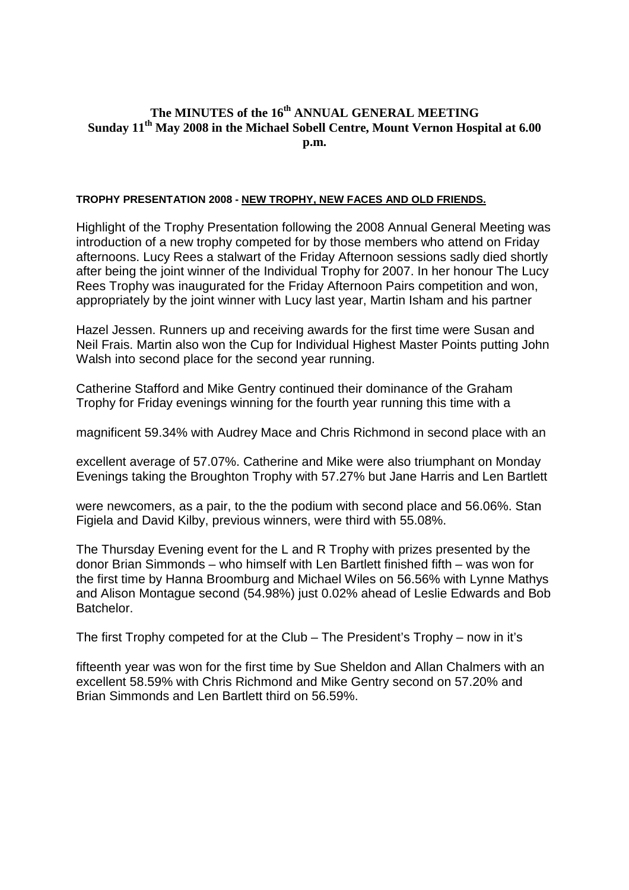## **The MINUTES of the 16th ANNUAL GENERAL MEETING Sunday 11th May 2008 in the Michael Sobell Centre, Mount Vernon Hospital at 6.00 p.m.**

## **TROPHY PRESENTATION 2008 - NEW TROPHY, NEW FACES AND OLD FRIENDS.**

Highlight of the Trophy Presentation following the 2008 Annual General Meeting was introduction of a new trophy competed for by those members who attend on Friday afternoons. Lucy Rees a stalwart of the Friday Afternoon sessions sadly died shortly after being the joint winner of the Individual Trophy for 2007. In her honour The Lucy Rees Trophy was inaugurated for the Friday Afternoon Pairs competition and won, appropriately by the joint winner with Lucy last year, Martin Isham and his partner

Hazel Jessen. Runners up and receiving awards for the first time were Susan and Neil Frais. Martin also won the Cup for Individual Highest Master Points putting John Walsh into second place for the second year running.

Catherine Stafford and Mike Gentry continued their dominance of the Graham Trophy for Friday evenings winning for the fourth year running this time with a

magnificent 59.34% with Audrey Mace and Chris Richmond in second place with an

excellent average of 57.07%. Catherine and Mike were also triumphant on Monday Evenings taking the Broughton Trophy with 57.27% but Jane Harris and Len Bartlett

were newcomers, as a pair, to the the podium with second place and 56.06%. Stan Figiela and David Kilby, previous winners, were third with 55.08%.

The Thursday Evening event for the L and R Trophy with prizes presented by the donor Brian Simmonds – who himself with Len Bartlett finished fifth – was won for the first time by Hanna Broomburg and Michael Wiles on 56.56% with Lynne Mathys and Alison Montague second (54.98%) just 0.02% ahead of Leslie Edwards and Bob Batchelor.

The first Trophy competed for at the Club – The President's Trophy – now in it's

fifteenth year was won for the first time by Sue Sheldon and Allan Chalmers with an excellent 58.59% with Chris Richmond and Mike Gentry second on 57.20% and Brian Simmonds and Len Bartlett third on 56.59%.